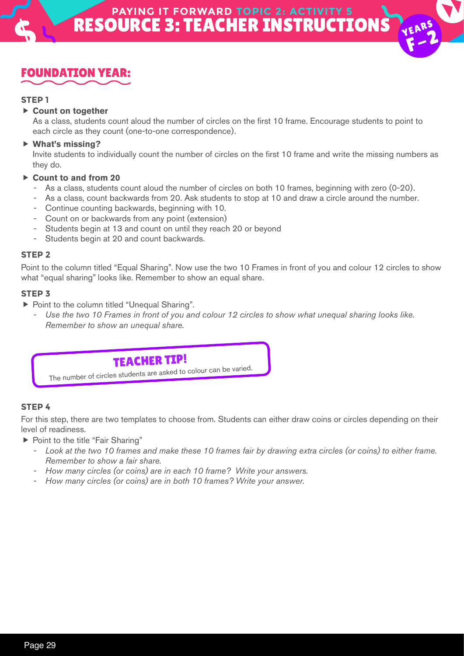VEARS  $F-2$ 



### **STEP 1**

### **Count on together**

As a class, students count aloud the number of circles on the first 10 frame. Encourage students to point to each circle as they count (one-to-one correspondence).

### **What's missing?**

Invite students to individually count the number of circles on the first 10 frame and write the missing numbers as they do.

#### **Count to and from 20**

- As a class, students count aloud the number of circles on both 10 frames, beginning with zero (0-20).
- As a class, count backwards from 20. Ask students to stop at 10 and draw a circle around the number.
- Continue counting backwards, beginning with 10.
- Count on or backwards from any point (extension)
- Students begin at 13 and count on until they reach 20 or beyond
- Students begin at 20 and count backwards.

### **STEP 2**

Point to the column titled "Equal Sharing". Now use the two 10 Frames in front of you and colour 12 circles to show what "equal sharing" looks like. Remember to show an equal share.

### **STEP 3**

- ▶ Point to the column titled "Unequal Sharing".
	- Use the two 10 Frames in front of you and colour 12 circles to show what unequal sharing looks like. *Remember to show an unequal share.*

# TEACHER TIP!

The number of circles students are asked to colour can be varied.

### **STEP 4**

For this step, there are two templates to choose from. Students can either draw coins or circles depending on their level of readiness.

- ▶ Point to the title "Fair Sharing"
	- *Look at the two 10 frames and make these 10 frames fair by drawing extra circles (or coins) to either frame. Remember to show a fair share.*
	- *How many circles (or coins) are in each 10 frame? Write your answers.*
	- *How many circles (or coins) are in both 10 frames? Write your answer.*